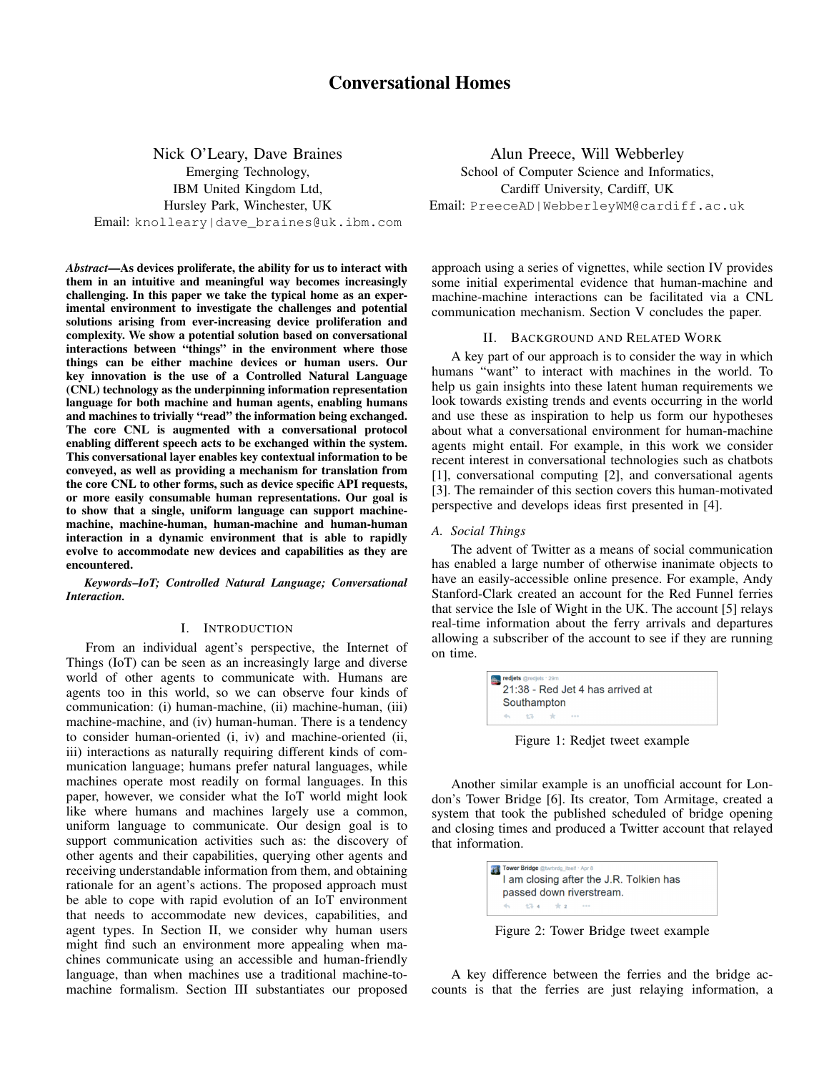Nick O'Leary, Dave Braines Emerging Technology, IBM United Kingdom Ltd, Hursley Park, Winchester, UK Email: knolleary|dave\_braines@uk.ibm.com

*Abstract*—As devices proliferate, the ability for us to interact with them in an intuitive and meaningful way becomes increasingly challenging. In this paper we take the typical home as an experimental environment to investigate the challenges and potential solutions arising from ever-increasing device proliferation and complexity. We show a potential solution based on conversational interactions between "things" in the environment where those things can be either machine devices or human users. Our key innovation is the use of a Controlled Natural Language (CNL) technology as the underpinning information representation language for both machine and human agents, enabling humans and machines to trivially "read" the information being exchanged. The core CNL is augmented with a conversational protocol enabling different speech acts to be exchanged within the system. This conversational layer enables key contextual information to be conveyed, as well as providing a mechanism for translation from the core CNL to other forms, such as device specific API requests, or more easily consumable human representations. Our goal is to show that a single, uniform language can support machinemachine, machine-human, human-machine and human-human interaction in a dynamic environment that is able to rapidly evolve to accommodate new devices and capabilities as they are encountered.

*Keywords*–*IoT; Controlled Natural Language; Conversational Interaction.*

### I. INTRODUCTION

From an individual agent's perspective, the Internet of Things (IoT) can be seen as an increasingly large and diverse world of other agents to communicate with. Humans are agents too in this world, so we can observe four kinds of communication: (i) human-machine, (ii) machine-human, (iii) machine-machine, and (iv) human-human. There is a tendency to consider human-oriented (i, iv) and machine-oriented (ii, iii) interactions as naturally requiring different kinds of communication language; humans prefer natural languages, while machines operate most readily on formal languages. In this paper, however, we consider what the IoT world might look like where humans and machines largely use a common, uniform language to communicate. Our design goal is to support communication activities such as: the discovery of other agents and their capabilities, querying other agents and receiving understandable information from them, and obtaining rationale for an agent's actions. The proposed approach must be able to cope with rapid evolution of an IoT environment that needs to accommodate new devices, capabilities, and agent types. In Section II, we consider why human users might find such an environment more appealing when machines communicate using an accessible and human-friendly language, than when machines use a traditional machine-tomachine formalism. Section III substantiates our proposed

Alun Preece, Will Webberley School of Computer Science and Informatics, Cardiff University, Cardiff, UK Email: PreeceAD|WebberleyWM@cardiff.ac.uk

approach using a series of vignettes, while section IV provides some initial experimental evidence that human-machine and machine-machine interactions can be facilitated via a CNL communication mechanism. Section V concludes the paper.

#### II. BACKGROUND AND RELATED WORK

A key part of our approach is to consider the way in which humans "want" to interact with machines in the world. To help us gain insights into these latent human requirements we look towards existing trends and events occurring in the world and use these as inspiration to help us form our hypotheses about what a conversational environment for human-machine agents might entail. For example, in this work we consider recent interest in conversational technologies such as chatbots [1], conversational computing [2], and conversational agents [3]. The remainder of this section covers this human-motivated perspective and develops ideas first presented in [4].

## *A. Social Things*

The advent of Twitter as a means of social communication has enabled a large number of otherwise inanimate objects to have an easily-accessible online presence. For example, Andy Stanford-Clark created an account for the Red Funnel ferries that service the Isle of Wight in the UK. The account [5] relays real-time information about the ferry arrivals and departures allowing a subscriber of the account to see if they are running on time.

|              |  | Southampton |  |  |  |
|--------------|--|-------------|--|--|--|
| 45 43 dr. or |  |             |  |  |  |

Figure 1: Redjet tweet example

Another similar example is an unofficial account for London's Tower Bridge [6]. Its creator, Tom Armitage, created a system that took the published scheduled of bridge opening and closing times and produced a Twitter account that relayed that information.

|  | <b>Tower Bridge</b> @twrbrdg_itself · Apr 8 |                                         |
|--|---------------------------------------------|-----------------------------------------|
|  |                                             | I am closing after the J.R. Tolkien has |
|  |                                             | passed down riverstream.                |
|  | 45 175 4 宋 2 111                            |                                         |

Figure 2: Tower Bridge tweet example

A key difference between the ferries and the bridge accounts is that the ferries are just relaying information, a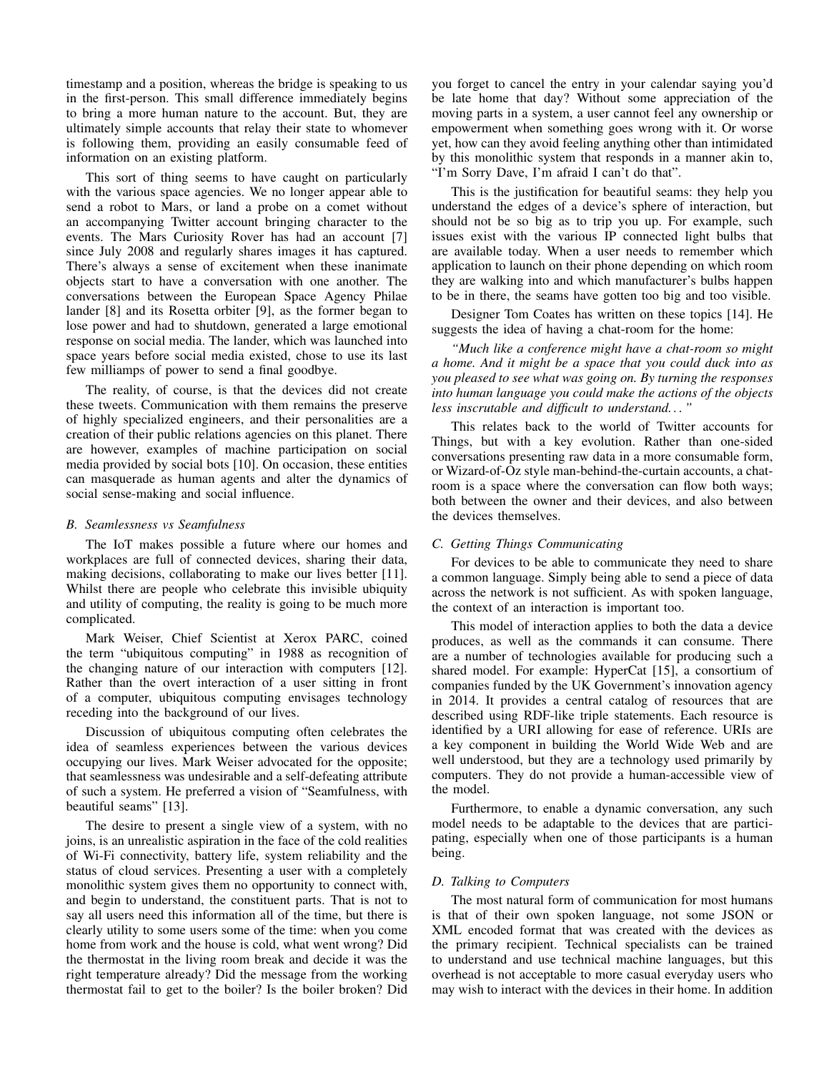timestamp and a position, whereas the bridge is speaking to us in the first-person. This small difference immediately begins to bring a more human nature to the account. But, they are ultimately simple accounts that relay their state to whomever is following them, providing an easily consumable feed of information on an existing platform.

This sort of thing seems to have caught on particularly with the various space agencies. We no longer appear able to send a robot to Mars, or land a probe on a comet without an accompanying Twitter account bringing character to the events. The Mars Curiosity Rover has had an account [7] since July 2008 and regularly shares images it has captured. There's always a sense of excitement when these inanimate objects start to have a conversation with one another. The conversations between the European Space Agency Philae lander [8] and its Rosetta orbiter [9], as the former began to lose power and had to shutdown, generated a large emotional response on social media. The lander, which was launched into space years before social media existed, chose to use its last few milliamps of power to send a final goodbye.

The reality, of course, is that the devices did not create these tweets. Communication with them remains the preserve of highly specialized engineers, and their personalities are a creation of their public relations agencies on this planet. There are however, examples of machine participation on social media provided by social bots [10]. On occasion, these entities can masquerade as human agents and alter the dynamics of social sense-making and social influence.

### *B. Seamlessness vs Seamfulness*

The IoT makes possible a future where our homes and workplaces are full of connected devices, sharing their data, making decisions, collaborating to make our lives better [11]. Whilst there are people who celebrate this invisible ubiquity and utility of computing, the reality is going to be much more complicated.

Mark Weiser, Chief Scientist at Xerox PARC, coined the term "ubiquitous computing" in 1988 as recognition of the changing nature of our interaction with computers [12]. Rather than the overt interaction of a user sitting in front of a computer, ubiquitous computing envisages technology receding into the background of our lives.

Discussion of ubiquitous computing often celebrates the idea of seamless experiences between the various devices occupying our lives. Mark Weiser advocated for the opposite; that seamlessness was undesirable and a self-defeating attribute of such a system. He preferred a vision of "Seamfulness, with beautiful seams" [13].

The desire to present a single view of a system, with no joins, is an unrealistic aspiration in the face of the cold realities of Wi-Fi connectivity, battery life, system reliability and the status of cloud services. Presenting a user with a completely monolithic system gives them no opportunity to connect with, and begin to understand, the constituent parts. That is not to say all users need this information all of the time, but there is clearly utility to some users some of the time: when you come home from work and the house is cold, what went wrong? Did the thermostat in the living room break and decide it was the right temperature already? Did the message from the working thermostat fail to get to the boiler? Is the boiler broken? Did you forget to cancel the entry in your calendar saying you'd be late home that day? Without some appreciation of the moving parts in a system, a user cannot feel any ownership or empowerment when something goes wrong with it. Or worse yet, how can they avoid feeling anything other than intimidated by this monolithic system that responds in a manner akin to, "I'm Sorry Dave, I'm afraid I can't do that".

This is the justification for beautiful seams: they help you understand the edges of a device's sphere of interaction, but should not be so big as to trip you up. For example, such issues exist with the various IP connected light bulbs that are available today. When a user needs to remember which application to launch on their phone depending on which room they are walking into and which manufacturer's bulbs happen to be in there, the seams have gotten too big and too visible.

Designer Tom Coates has written on these topics [14]. He suggests the idea of having a chat-room for the home:

*"Much like a conference might have a chat-room so might a home. And it might be a space that you could duck into as you pleased to see what was going on. By turning the responses into human language you could make the actions of the objects less inscrutable and difficult to understand. . . "*

This relates back to the world of Twitter accounts for Things, but with a key evolution. Rather than one-sided conversations presenting raw data in a more consumable form, or Wizard-of-Oz style man-behind-the-curtain accounts, a chatroom is a space where the conversation can flow both ways; both between the owner and their devices, and also between the devices themselves.

# *C. Getting Things Communicating*

For devices to be able to communicate they need to share a common language. Simply being able to send a piece of data across the network is not sufficient. As with spoken language, the context of an interaction is important too.

This model of interaction applies to both the data a device produces, as well as the commands it can consume. There are a number of technologies available for producing such a shared model. For example: HyperCat [15], a consortium of companies funded by the UK Government's innovation agency in 2014. It provides a central catalog of resources that are described using RDF-like triple statements. Each resource is identified by a URI allowing for ease of reference. URIs are a key component in building the World Wide Web and are well understood, but they are a technology used primarily by computers. They do not provide a human-accessible view of the model.

Furthermore, to enable a dynamic conversation, any such model needs to be adaptable to the devices that are participating, especially when one of those participants is a human being.

# *D. Talking to Computers*

The most natural form of communication for most humans is that of their own spoken language, not some JSON or XML encoded format that was created with the devices as the primary recipient. Technical specialists can be trained to understand and use technical machine languages, but this overhead is not acceptable to more casual everyday users who may wish to interact with the devices in their home. In addition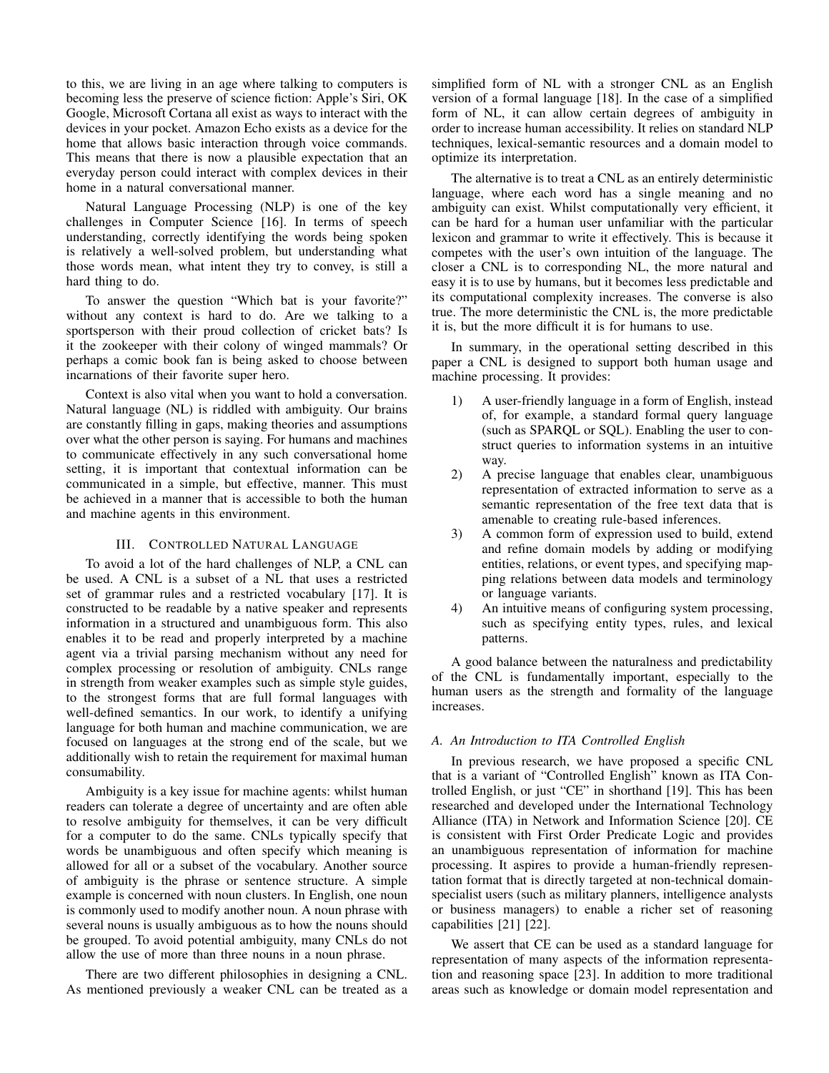to this, we are living in an age where talking to computers is becoming less the preserve of science fiction: Apple's Siri, OK Google, Microsoft Cortana all exist as ways to interact with the devices in your pocket. Amazon Echo exists as a device for the home that allows basic interaction through voice commands. This means that there is now a plausible expectation that an everyday person could interact with complex devices in their home in a natural conversational manner.

Natural Language Processing (NLP) is one of the key challenges in Computer Science [16]. In terms of speech understanding, correctly identifying the words being spoken is relatively a well-solved problem, but understanding what those words mean, what intent they try to convey, is still a hard thing to do.

To answer the question "Which bat is your favorite?" without any context is hard to do. Are we talking to a sportsperson with their proud collection of cricket bats? Is it the zookeeper with their colony of winged mammals? Or perhaps a comic book fan is being asked to choose between incarnations of their favorite super hero.

Context is also vital when you want to hold a conversation. Natural language (NL) is riddled with ambiguity. Our brains are constantly filling in gaps, making theories and assumptions over what the other person is saying. For humans and machines to communicate effectively in any such conversational home setting, it is important that contextual information can be communicated in a simple, but effective, manner. This must be achieved in a manner that is accessible to both the human and machine agents in this environment.

### III. CONTROLLED NATURAL LANGUAGE

To avoid a lot of the hard challenges of NLP, a CNL can be used. A CNL is a subset of a NL that uses a restricted set of grammar rules and a restricted vocabulary [17]. It is constructed to be readable by a native speaker and represents information in a structured and unambiguous form. This also enables it to be read and properly interpreted by a machine agent via a trivial parsing mechanism without any need for complex processing or resolution of ambiguity. CNLs range in strength from weaker examples such as simple style guides, to the strongest forms that are full formal languages with well-defined semantics. In our work, to identify a unifying language for both human and machine communication, we are focused on languages at the strong end of the scale, but we additionally wish to retain the requirement for maximal human consumability.

Ambiguity is a key issue for machine agents: whilst human readers can tolerate a degree of uncertainty and are often able to resolve ambiguity for themselves, it can be very difficult for a computer to do the same. CNLs typically specify that words be unambiguous and often specify which meaning is allowed for all or a subset of the vocabulary. Another source of ambiguity is the phrase or sentence structure. A simple example is concerned with noun clusters. In English, one noun is commonly used to modify another noun. A noun phrase with several nouns is usually ambiguous as to how the nouns should be grouped. To avoid potential ambiguity, many CNLs do not allow the use of more than three nouns in a noun phrase.

There are two different philosophies in designing a CNL. As mentioned previously a weaker CNL can be treated as a simplified form of NL with a stronger CNL as an English version of a formal language [18]. In the case of a simplified form of NL, it can allow certain degrees of ambiguity in order to increase human accessibility. It relies on standard NLP techniques, lexical-semantic resources and a domain model to optimize its interpretation.

The alternative is to treat a CNL as an entirely deterministic language, where each word has a single meaning and no ambiguity can exist. Whilst computationally very efficient, it can be hard for a human user unfamiliar with the particular lexicon and grammar to write it effectively. This is because it competes with the user's own intuition of the language. The closer a CNL is to corresponding NL, the more natural and easy it is to use by humans, but it becomes less predictable and its computational complexity increases. The converse is also true. The more deterministic the CNL is, the more predictable it is, but the more difficult it is for humans to use.

In summary, in the operational setting described in this paper a CNL is designed to support both human usage and machine processing. It provides:

- 1) A user-friendly language in a form of English, instead of, for example, a standard formal query language (such as SPARQL or SQL). Enabling the user to construct queries to information systems in an intuitive way.
- 2) A precise language that enables clear, unambiguous representation of extracted information to serve as a semantic representation of the free text data that is amenable to creating rule-based inferences.
- 3) A common form of expression used to build, extend and refine domain models by adding or modifying entities, relations, or event types, and specifying mapping relations between data models and terminology or language variants.
- 4) An intuitive means of configuring system processing, such as specifying entity types, rules, and lexical patterns.

A good balance between the naturalness and predictability of the CNL is fundamentally important, especially to the human users as the strength and formality of the language increases.

# *A. An Introduction to ITA Controlled English*

In previous research, we have proposed a specific CNL that is a variant of "Controlled English" known as ITA Controlled English, or just "CE" in shorthand [19]. This has been researched and developed under the International Technology Alliance (ITA) in Network and Information Science [20]. CE is consistent with First Order Predicate Logic and provides an unambiguous representation of information for machine processing. It aspires to provide a human-friendly representation format that is directly targeted at non-technical domainspecialist users (such as military planners, intelligence analysts or business managers) to enable a richer set of reasoning capabilities [21] [22].

We assert that CE can be used as a standard language for representation of many aspects of the information representation and reasoning space [23]. In addition to more traditional areas such as knowledge or domain model representation and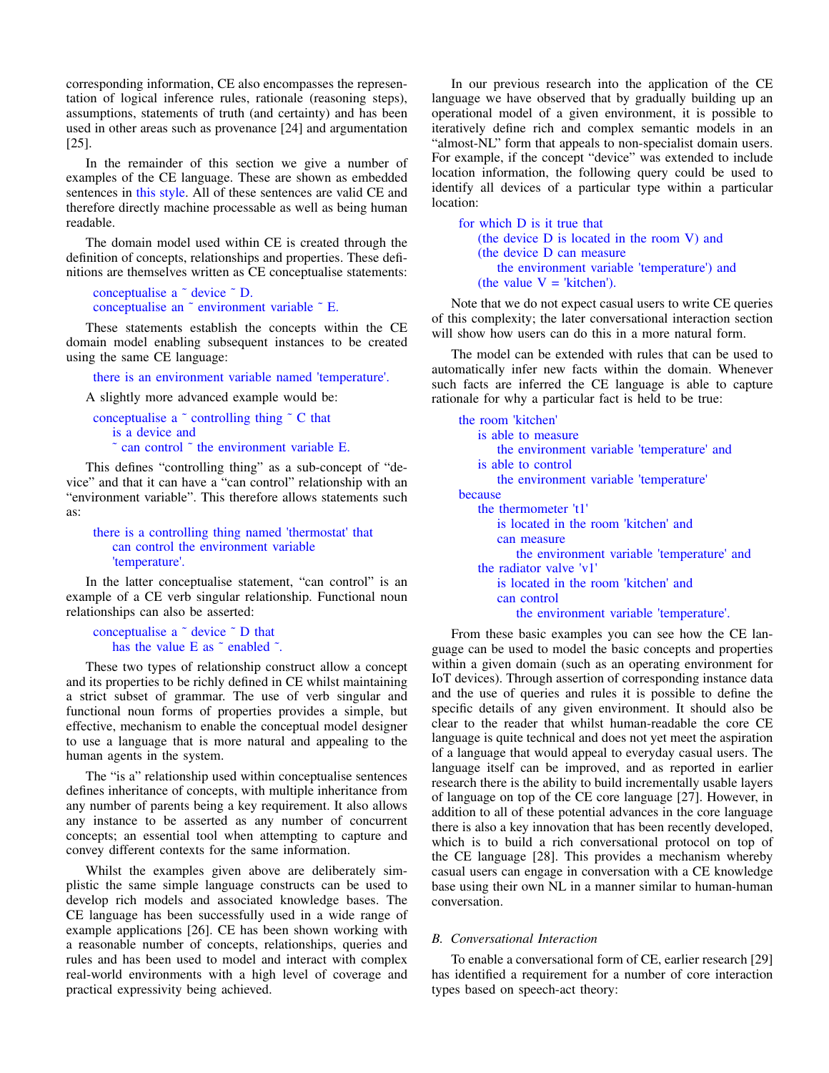corresponding information, CE also encompasses the representation of logical inference rules, rationale (reasoning steps), assumptions, statements of truth (and certainty) and has been used in other areas such as provenance [24] and argumentation [25].

In the remainder of this section we give a number of examples of the CE language. These are shown as embedded sentences in this style. All of these sentences are valid CE and therefore directly machine processable as well as being human readable.

The domain model used within CE is created through the definition of concepts, relationships and properties. These definitions are themselves written as CE conceptualise statements:

```
conceptualise a ˜ device ˜ D.
conceptualise an ˜ environment variable ˜ E.
```
These statements establish the concepts within the CE domain model enabling subsequent instances to be created using the same CE language:

there is an environment variable named 'temperature'.

A slightly more advanced example would be:

```
conceptualise a \tilde{ } controlling thing \tilde{ } C that
    is a device and
    \tilde{c} can control \tilde{c} the environment variable E.
```
This defines "controlling thing" as a sub-concept of "device" and that it can have a "can control" relationship with an "environment variable". This therefore allows statements such as:

# there is a controlling thing named 'thermostat' that can control the environment variable 'temperature'.

In the latter conceptualise statement, "can control" is an example of a CE verb singular relationship. Functional noun relationships can also be asserted:

```
conceptualise a ˜ device ˜ D that
   has the value E as \tilde{ } enabled \tilde{ }.
```
These two types of relationship construct allow a concept and its properties to be richly defined in CE whilst maintaining a strict subset of grammar. The use of verb singular and functional noun forms of properties provides a simple, but effective, mechanism to enable the conceptual model designer to use a language that is more natural and appealing to the human agents in the system.

The "is a" relationship used within conceptualise sentences defines inheritance of concepts, with multiple inheritance from any number of parents being a key requirement. It also allows any instance to be asserted as any number of concurrent concepts; an essential tool when attempting to capture and convey different contexts for the same information.

Whilst the examples given above are deliberately simplistic the same simple language constructs can be used to develop rich models and associated knowledge bases. The CE language has been successfully used in a wide range of example applications [26]. CE has been shown working with a reasonable number of concepts, relationships, queries and rules and has been used to model and interact with complex real-world environments with a high level of coverage and practical expressivity being achieved.

In our previous research into the application of the CE language we have observed that by gradually building up an operational model of a given environment, it is possible to iteratively define rich and complex semantic models in an "almost-NL" form that appeals to non-specialist domain users. For example, if the concept "device" was extended to include location information, the following query could be used to identify all devices of a particular type within a particular location:

```
for which D is it true that
   (the device D is located in the room V) and
   (the device D can measure
      the environment variable 'temperature') and
   (the value V = 'kitchen').
```
Note that we do not expect casual users to write CE queries of this complexity; the later conversational interaction section will show how users can do this in a more natural form.

The model can be extended with rules that can be used to automatically infer new facts within the domain. Whenever such facts are inferred the CE language is able to capture rationale for why a particular fact is held to be true:

```
the room 'kitchen'
   is able to measure
       the environment variable 'temperature' and
   is able to control
       the environment variable 'temperature'
because
   the thermometer 't1'
       is located in the room 'kitchen' and
       can measure
          the environment variable 'temperature' and
   the radiator valve 'v1'
       is located in the room 'kitchen' and
       can control
          the environment variable 'temperature'.
```
From these basic examples you can see how the CE language can be used to model the basic concepts and properties within a given domain (such as an operating environment for IoT devices). Through assertion of corresponding instance data and the use of queries and rules it is possible to define the specific details of any given environment. It should also be clear to the reader that whilst human-readable the core CE language is quite technical and does not yet meet the aspiration of a language that would appeal to everyday casual users. The language itself can be improved, and as reported in earlier research there is the ability to build incrementally usable layers of language on top of the CE core language [27]. However, in addition to all of these potential advances in the core language there is also a key innovation that has been recently developed, which is to build a rich conversational protocol on top of the CE language [28]. This provides a mechanism whereby casual users can engage in conversation with a CE knowledge base using their own NL in a manner similar to human-human conversation.

# *B. Conversational Interaction*

To enable a conversational form of CE, earlier research [29] has identified a requirement for a number of core interaction types based on speech-act theory: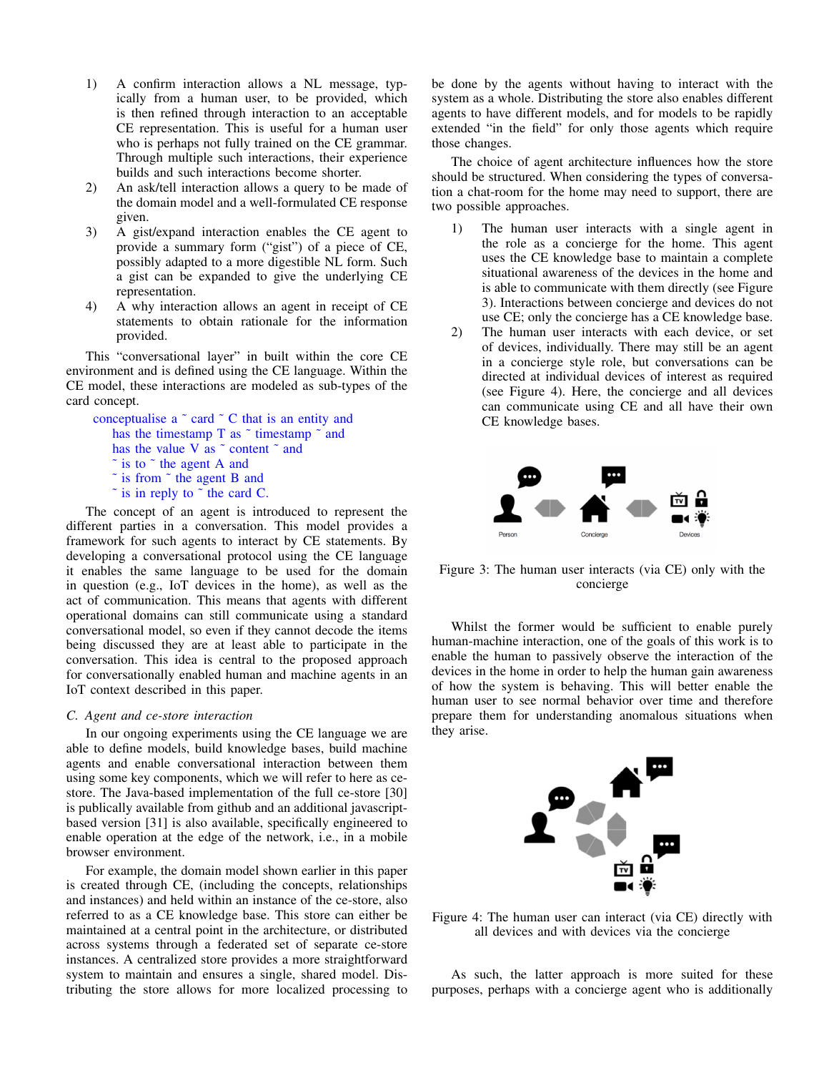- 1) A confirm interaction allows a NL message, typically from a human user, to be provided, which is then refined through interaction to an acceptable CE representation. This is useful for a human user who is perhaps not fully trained on the CE grammar. Through multiple such interactions, their experience builds and such interactions become shorter.
- 2) An ask/tell interaction allows a query to be made of the domain model and a well-formulated CE response given.
- 3) A gist/expand interaction enables the CE agent to provide a summary form ("gist") of a piece of CE, possibly adapted to a more digestible NL form. Such a gist can be expanded to give the underlying CE representation.
- 4) A why interaction allows an agent in receipt of CE statements to obtain rationale for the information provided.

This "conversational layer" in built within the core CE environment and is defined using the CE language. Within the CE model, these interactions are modeled as sub-types of the card concept.

```
conceptualise a \tilde{c} card \tilde{c} C that is an entity and
    has the timestamp T as \tilde{}} timestamp \tilde{}} and
    has the value V as \degree content \degree and
    \tilde{ } is to \tilde{ } the agent A and
    ˜ is from ˜ the agent B and
    \tilde{ } is in reply to \tilde{ } the card C.
```
The concept of an agent is introduced to represent the different parties in a conversation. This model provides a framework for such agents to interact by CE statements. By developing a conversational protocol using the CE language it enables the same language to be used for the domain in question (e.g., IoT devices in the home), as well as the act of communication. This means that agents with different operational domains can still communicate using a standard conversational model, so even if they cannot decode the items being discussed they are at least able to participate in the conversation. This idea is central to the proposed approach for conversationally enabled human and machine agents in an IoT context described in this paper.

#### *C. Agent and ce-store interaction*

In our ongoing experiments using the CE language we are able to define models, build knowledge bases, build machine agents and enable conversational interaction between them using some key components, which we will refer to here as cestore. The Java-based implementation of the full ce-store [30] is publically available from github and an additional javascriptbased version [31] is also available, specifically engineered to enable operation at the edge of the network, i.e., in a mobile browser environment.

For example, the domain model shown earlier in this paper is created through CE, (including the concepts, relationships and instances) and held within an instance of the ce-store, also referred to as a CE knowledge base. This store can either be maintained at a central point in the architecture, or distributed across systems through a federated set of separate ce-store instances. A centralized store provides a more straightforward system to maintain and ensures a single, shared model. Distributing the store allows for more localized processing to be done by the agents without having to interact with the system as a whole. Distributing the store also enables different agents to have different models, and for models to be rapidly extended "in the field" for only those agents which require those changes.

The choice of agent architecture influences how the store should be structured. When considering the types of conversation a chat-room for the home may need to support, there are two possible approaches.

- 1) The human user interacts with a single agent in the role as a concierge for the home. This agent uses the CE knowledge base to maintain a complete situational awareness of the devices in the home and is able to communicate with them directly (see Figure 3). Interactions between concierge and devices do not use CE; only the concierge has a CE knowledge base.
- 2) The human user interacts with each device, or set of devices, individually. There may still be an agent in a concierge style role, but conversations can be directed at individual devices of interest as required (see Figure 4). Here, the concierge and all devices can communicate using CE and all have their own CE knowledge bases.



Figure 3: The human user interacts (via CE) only with the concierge

Whilst the former would be sufficient to enable purely human-machine interaction, one of the goals of this work is to enable the human to passively observe the interaction of the devices in the home in order to help the human gain awareness of how the system is behaving. This will better enable the human user to see normal behavior over time and therefore prepare them for understanding anomalous situations when they arise.



Figure 4: The human user can interact (via CE) directly with all devices and with devices via the concierge

As such, the latter approach is more suited for these purposes, perhaps with a concierge agent who is additionally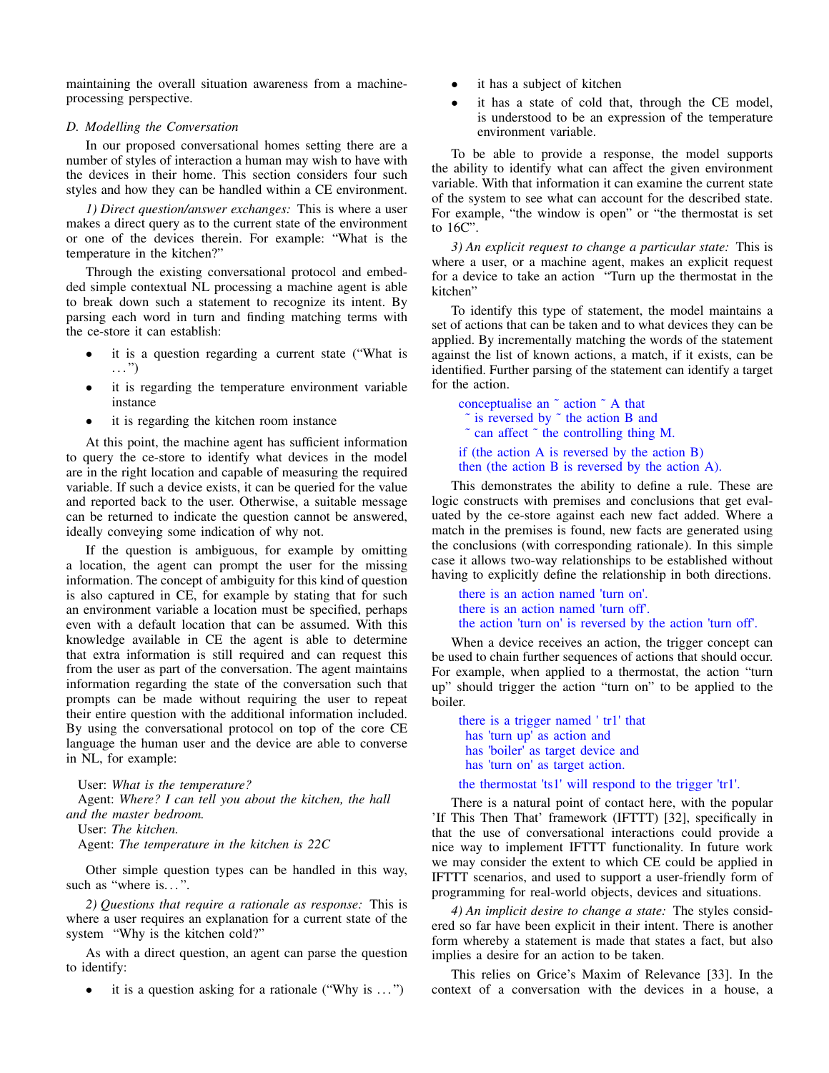maintaining the overall situation awareness from a machineprocessing perspective.

### *D. Modelling the Conversation*

In our proposed conversational homes setting there are a number of styles of interaction a human may wish to have with the devices in their home. This section considers four such styles and how they can be handled within a CE environment.

*1) Direct question/answer exchanges:* This is where a user makes a direct query as to the current state of the environment or one of the devices therein. For example: "What is the temperature in the kitchen?"

Through the existing conversational protocol and embedded simple contextual NL processing a machine agent is able to break down such a statement to recognize its intent. By parsing each word in turn and finding matching terms with the ce-store it can establish:

- it is a question regarding a current state ("What is  $\ldots$ ")
- it is regarding the temperature environment variable instance
- it is regarding the kitchen room instance

At this point, the machine agent has sufficient information to query the ce-store to identify what devices in the model are in the right location and capable of measuring the required variable. If such a device exists, it can be queried for the value and reported back to the user. Otherwise, a suitable message can be returned to indicate the question cannot be answered, ideally conveying some indication of why not.

If the question is ambiguous, for example by omitting a location, the agent can prompt the user for the missing information. The concept of ambiguity for this kind of question is also captured in CE, for example by stating that for such an environment variable a location must be specified, perhaps even with a default location that can be assumed. With this knowledge available in CE the agent is able to determine that extra information is still required and can request this from the user as part of the conversation. The agent maintains information regarding the state of the conversation such that prompts can be made without requiring the user to repeat their entire question with the additional information included. By using the conversational protocol on top of the core CE language the human user and the device are able to converse in NL, for example:

User: *What is the temperature?* Agent: *Where? I can tell you about the kitchen, the hall and the master bedroom.*

User: *The kitchen.*

Agent: *The temperature in the kitchen is 22C*

Other simple question types can be handled in this way, such as "where is...".

*2) Questions that require a rationale as response:* This is where a user requires an explanation for a current state of the system "Why is the kitchen cold?"

As with a direct question, an agent can parse the question to identify:

• it is a question asking for a rationale ("Why is  $\dots$ ")

- it has a subject of kitchen
- it has a state of cold that, through the CE model, is understood to be an expression of the temperature environment variable.

To be able to provide a response, the model supports the ability to identify what can affect the given environment variable. With that information it can examine the current state of the system to see what can account for the described state. For example, "the window is open" or "the thermostat is set to 16C".

*3) An explicit request to change a particular state:* This is where a user, or a machine agent, makes an explicit request for a device to take an action "Turn up the thermostat in the kitchen"

To identify this type of statement, the model maintains a set of actions that can be taken and to what devices they can be applied. By incrementally matching the words of the statement against the list of known actions, a match, if it exists, can be identified. Further parsing of the statement can identify a target for the action.

conceptualise an ˜ action ˜ A that  $\tilde{ }$  is reversed by  $\tilde{ }$  the action B and ˜ can affect ˜ the controlling thing M. if (the action A is reversed by the action B) then (the action B is reversed by the action A).

This demonstrates the ability to define a rule. These are logic constructs with premises and conclusions that get evaluated by the ce-store against each new fact added. Where a match in the premises is found, new facts are generated using the conclusions (with corresponding rationale). In this simple case it allows two-way relationships to be established without having to explicitly define the relationship in both directions.

there is an action named 'turn on'. there is an action named 'turn off'. the action 'turn on' is reversed by the action 'turn off'.

When a device receives an action, the trigger concept can be used to chain further sequences of actions that should occur. For example, when applied to a thermostat, the action "turn up" should trigger the action "turn on" to be applied to the boiler.

there is a trigger named ' tr1' that has 'turn up' as action and has 'boiler' as target device and has 'turn on' as target action.

the thermostat 'ts1' will respond to the trigger 'tr1'.

There is a natural point of contact here, with the popular 'If This Then That' framework (IFTTT) [32], specifically in that the use of conversational interactions could provide a nice way to implement IFTTT functionality. In future work we may consider the extent to which CE could be applied in IFTTT scenarios, and used to support a user-friendly form of programming for real-world objects, devices and situations.

*4) An implicit desire to change a state:* The styles considered so far have been explicit in their intent. There is another form whereby a statement is made that states a fact, but also implies a desire for an action to be taken.

This relies on Grice's Maxim of Relevance [33]. In the context of a conversation with the devices in a house, a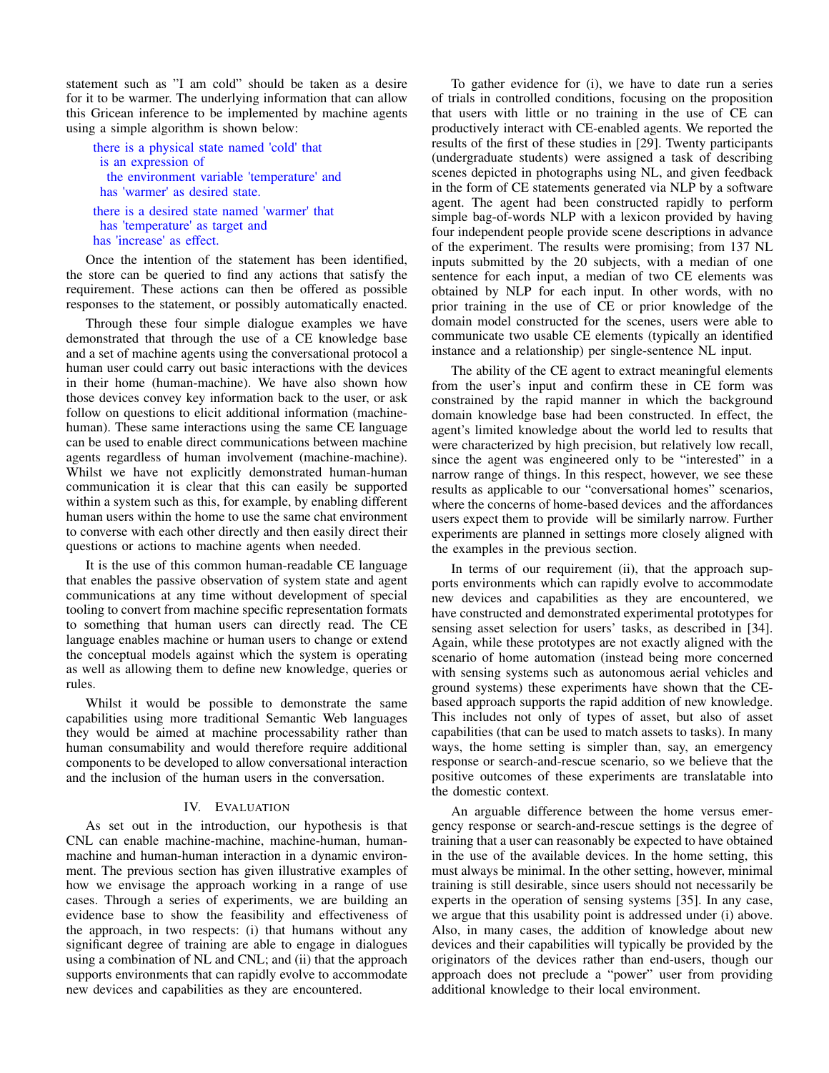statement such as "I am cold" should be taken as a desire for it to be warmer. The underlying information that can allow this Gricean inference to be implemented by machine agents using a simple algorithm is shown below:

there is a physical state named 'cold' that is an expression of the environment variable 'temperature' and has 'warmer' as desired state. there is a desired state named 'warmer' that

has 'temperature' as target and has 'increase' as effect.

Once the intention of the statement has been identified, the store can be queried to find any actions that satisfy the requirement. These actions can then be offered as possible responses to the statement, or possibly automatically enacted.

Through these four simple dialogue examples we have demonstrated that through the use of a CE knowledge base and a set of machine agents using the conversational protocol a human user could carry out basic interactions with the devices in their home (human-machine). We have also shown how those devices convey key information back to the user, or ask follow on questions to elicit additional information (machinehuman). These same interactions using the same CE language can be used to enable direct communications between machine agents regardless of human involvement (machine-machine). Whilst we have not explicitly demonstrated human-human communication it is clear that this can easily be supported within a system such as this, for example, by enabling different human users within the home to use the same chat environment to converse with each other directly and then easily direct their questions or actions to machine agents when needed.

It is the use of this common human-readable CE language that enables the passive observation of system state and agent communications at any time without development of special tooling to convert from machine specific representation formats to something that human users can directly read. The CE language enables machine or human users to change or extend the conceptual models against which the system is operating as well as allowing them to define new knowledge, queries or rules.

Whilst it would be possible to demonstrate the same capabilities using more traditional Semantic Web languages they would be aimed at machine processability rather than human consumability and would therefore require additional components to be developed to allow conversational interaction and the inclusion of the human users in the conversation.

### IV. EVALUATION

As set out in the introduction, our hypothesis is that CNL can enable machine-machine, machine-human, humanmachine and human-human interaction in a dynamic environment. The previous section has given illustrative examples of how we envisage the approach working in a range of use cases. Through a series of experiments, we are building an evidence base to show the feasibility and effectiveness of the approach, in two respects: (i) that humans without any significant degree of training are able to engage in dialogues using a combination of NL and CNL; and (ii) that the approach supports environments that can rapidly evolve to accommodate new devices and capabilities as they are encountered.

To gather evidence for (i), we have to date run a series of trials in controlled conditions, focusing on the proposition that users with little or no training in the use of CE can productively interact with CE-enabled agents. We reported the results of the first of these studies in [29]. Twenty participants (undergraduate students) were assigned a task of describing scenes depicted in photographs using NL, and given feedback in the form of CE statements generated via NLP by a software agent. The agent had been constructed rapidly to perform simple bag-of-words NLP with a lexicon provided by having four independent people provide scene descriptions in advance of the experiment. The results were promising; from 137 NL inputs submitted by the 20 subjects, with a median of one sentence for each input, a median of two CE elements was obtained by NLP for each input. In other words, with no prior training in the use of CE or prior knowledge of the domain model constructed for the scenes, users were able to communicate two usable CE elements (typically an identified instance and a relationship) per single-sentence NL input.

The ability of the CE agent to extract meaningful elements from the user's input and confirm these in CE form was constrained by the rapid manner in which the background domain knowledge base had been constructed. In effect, the agent's limited knowledge about the world led to results that were characterized by high precision, but relatively low recall, since the agent was engineered only to be "interested" in a narrow range of things. In this respect, however, we see these results as applicable to our "conversational homes" scenarios, where the concerns of home-based devices and the affordances users expect them to provide will be similarly narrow. Further experiments are planned in settings more closely aligned with the examples in the previous section.

In terms of our requirement (ii), that the approach supports environments which can rapidly evolve to accommodate new devices and capabilities as they are encountered, we have constructed and demonstrated experimental prototypes for sensing asset selection for users' tasks, as described in [34]. Again, while these prototypes are not exactly aligned with the scenario of home automation (instead being more concerned with sensing systems such as autonomous aerial vehicles and ground systems) these experiments have shown that the CEbased approach supports the rapid addition of new knowledge. This includes not only of types of asset, but also of asset capabilities (that can be used to match assets to tasks). In many ways, the home setting is simpler than, say, an emergency response or search-and-rescue scenario, so we believe that the positive outcomes of these experiments are translatable into the domestic context.

An arguable difference between the home versus emergency response or search-and-rescue settings is the degree of training that a user can reasonably be expected to have obtained in the use of the available devices. In the home setting, this must always be minimal. In the other setting, however, minimal training is still desirable, since users should not necessarily be experts in the operation of sensing systems [35]. In any case, we argue that this usability point is addressed under (i) above. Also, in many cases, the addition of knowledge about new devices and their capabilities will typically be provided by the originators of the devices rather than end-users, though our approach does not preclude a "power" user from providing additional knowledge to their local environment.